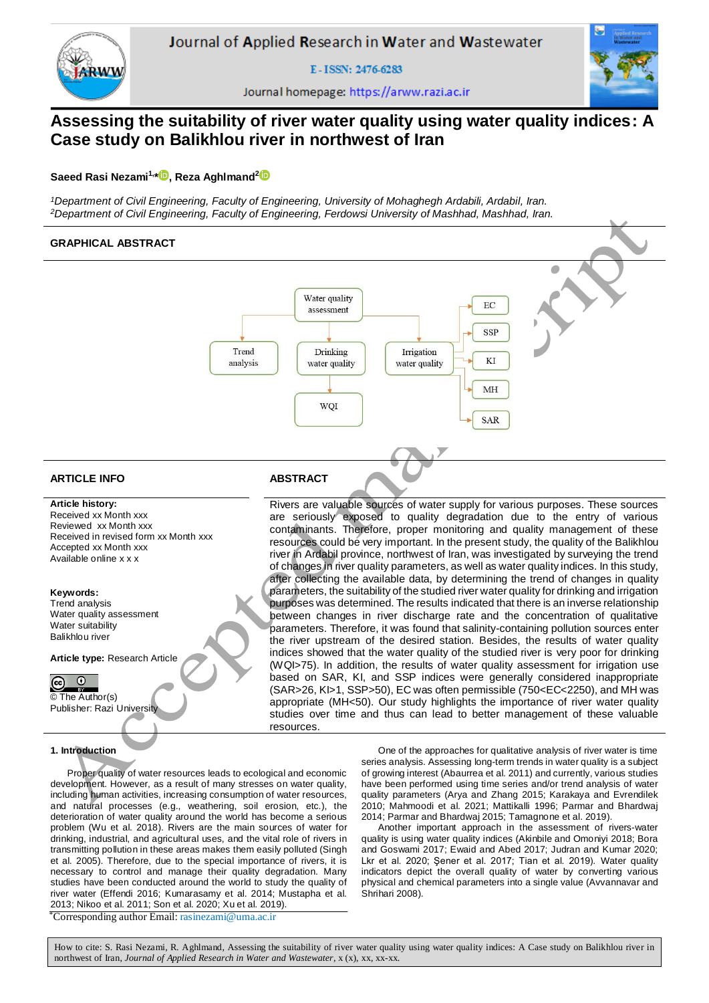

E-ISSN: 2476-6283



Journal homepage: https://arww.razi.ac.ir

# **Assessing the suitability of river water quality using water quality indices: A Case study on Balikhlou river in northwest of Iran**

# **Saeed Rasi Nezami1,[\\*](https://orcid.org/0000-0002-9301-9741) , Reza Aghlmand<sup>2</sup>**

*<sup>1</sup>Department of Civil Engineering, Faculty of Engineering, University of Mohaghegh Ardabili, Ardabil, Iran. <sup>2</sup>Department of Civil Engineering, Faculty of Engineering, Ferdowsi University of Mashhad, Mashhad, Iran.*

# **GRAPHICAL ABSTRACT** Water quality EC assessment **SSP** Trend Drinking Irrigation KI analysis water quality water quality MH WOI **SAR ARTICLE INFO ABSTRACT Article history:**  Rivers are valuable sources of water supply for various purposes. These sources

Received xx Month xxx Reviewed xx Month xxx Received in revised form xx Month xxx Accepted xx Month xxx Available online x x x

### **Keywords:**

Trend analysis Water quality assessment Water suitability Balikhlou river

**Article type:** Research Article

#### $\odot$  $\Omega$

© The Author(s) Publisher: Razi University

# **1. Introduction**

Proper quality of water resources leads to ecological and economic development. However, as a result of many stresses on water quality, including human activities, increasing consumption of water resources, and natural processes (e.g., weathering, soil erosion, etc.), the deterioration of water quality around the world has become a serious problem (Wu et al. 2018). Rivers are the main sources of water for drinking, industrial, and agricultural uses, and the vital role of rivers in transmitting pollution in these areas makes them easily polluted (Singh et al. 2005). Therefore, due to the special importance of rivers, it is necessary to control and manage their quality degradation. Many studies have been conducted around the world to study the quality of river water (Effendi 2016; Kumarasamy et al. 2014; Mustapha et al. 2013; Nikoo et al. 2011; Son et al. 2020; Xu et al. 2019).

One of the approaches for qualitative analysis of river water is time series analysis. Assessing long-term trends in water quality is a subject of growing interest (Abaurrea et al. 2011) and currently, various studies have been performed using time series and/or trend analysis of water quality parameters (Arya and Zhang 2015; Karakaya and Evrendilek 2010; Mahmoodi et al. 2021; Mattikalli 1996; Parmar and Bhardwaj 2014; Parmar and Bhardwaj 2015; Tamagnone et al. 2019).

are seriously exposed to quality degradation due to the entry of various contaminants. Therefore, proper monitoring and quality management of these resources could be very important. In the present study, the quality of the Balikhlou river in Ardabil province, northwest of Iran, was investigated by surveying the trend of changes in river quality parameters, as well as water quality indices. In this study, after collecting the available data, by determining the trend of changes in quality parameters, the suitability of the studied river water quality for drinking and irrigation purposes was determined. The results indicated that there is an inverse relationship between changes in river discharge rate and the concentration of qualitative parameters. Therefore, it was found that salinity-containing pollution sources enter the river upstream of the desired station. Besides, the results of water quality indices showed that the water quality of the studied river is very poor for drinking (WQI>75). In addition, the results of water quality assessment for irrigation use based on SAR, KI, and SSP indices were generally considered inappropriate (SAR>26, KI>1, SSP>50), EC was often permissible (750<EC<2250), and MH was appropriate (MH<50). Our study highlights the importance of river water quality studies over time and thus can lead to better management of these valuable

> Another important approach in the assessment of rivers-water quality is using water quality indices (Akinbile and Omoniyi 2018; Bora and Goswami 2017; Ewaid and Abed 2017; Judran and Kumar 2020; Lkr et al. 2020; Şener et al. 2017; Tian et al. 2019). Water quality indicators depict the overall quality of water by converting various physical and chemical parameters into a single value (Avvannavar and Shrihari 2008).

\*Corresponding author Email: rasinezami@uma.ac.ir

How to cite: S. Rasi Nezami, R. Aghlmand, Assessing the suitability of river water quality using water quality indices: A Case study on Balikhlou river in northwest of Iran, *Journal of Applied Research in Water and Wastewater*, x (x), xx, xx-xx.

resources.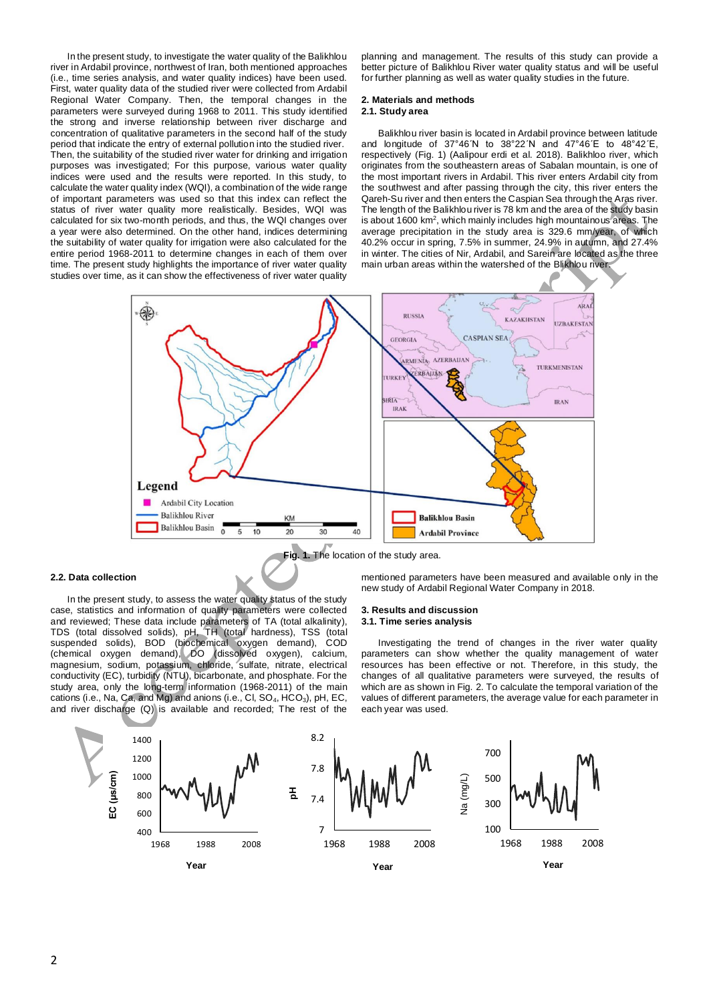In the present study, to investigate the water quality of the Balikhlou river in Ardabil province, northwest of Iran, both mentioned approaches (i.e., time series analysis, and water quality indices) have been used. First, water quality data of the studied river were collected from Ardabil Regional Water Company. Then, the temporal changes in the parameters were surveyed during 1968 to 2011. This study identified the strong and inverse relationship between river discharge and concentration of qualitative parameters in the second half of the study period that indicate the entry of external pollution into the studied river. Then, the suitability of the studied river water for drinking and irrigation purposes was investigated; For this purpose, various water quality indices were used and the results were reported. In this study, to calculate the water quality index (WQI), a combination of the wide range of important parameters was used so that this index can reflect the status of river water quality more realistically. Besides, WQI was calculated for six two-month periods, and thus, the WQI changes over a year were also determined. On the other hand, indices determining the suitability of water quality for irrigation were also calculated for the entire period 1968-2011 to determine changes in each of them over time. The present study highlights the importance of river water quality studies over time, as it can show the effectiveness of river water quality

planning and management. The results of this study can provide a better picture of Balikhlou River water quality status and will be useful for further planning as well as water quality studies in the future.

# **2. Materials and methods**

# **2.1. Study area**

Balikhlou river basin is located in Ardabil province between latitude and longitude of  $37^{\circ}46'$ N to  $38^{\circ}22'$ N and  $47^{\circ}46'$ E to  $48^{\circ}42'$ E, respectively (Fig. 1) (Aalipour erdi et al. 2018). Balikhloo river, which originates from the southeastern areas of Sabalan mountain, is one of the most important rivers in Ardabil. This river enters Ardabil city from the southwest and after passing through the city, this river enters the Qareh-Su river and then enters the Caspian Sea through the Aras river. The length of the Balikhlou river is 78 km and the area of the study basin is about 1600 km<sup>2</sup>, which mainly includes high mountainous areas. The average precipitation in the study area is 329.6 mm/year, of which 40.2% occur in spring, 7.5% in summer, 24.9% in autumn, and 27.4% in winter. The cities of Nir, Ardabil, and Sarein are located as the three main urban areas within the watershed of the Blikhlou river.



#### **2.2. Data collection**

In the present study, to assess the water quality status of the study case, statistics and information of quality parameters were collected and reviewed; These data include parameters of TA (total alkalinity), TDS (total dissolved solids), pH, TH (total hardness), TSS (total suspended solids), BOD (biochemical oxygen demand), COD (chemical oxygen demand), DO (dissolved oxygen), calcium, magnesium, sodium, potassium, chloride, sulfate, nitrate, electrical conductivity (EC), turbidity (NTU), bicarbonate, and phosphate. For the study area, only the long-term information (1968-2011) of the main cations (i.e., Na, Ca, and Mg) and anions (i.e., Cl, SO<sub>4</sub>, HCO<sub>3</sub>), pH, EC, and river discharge (Q) is available and recorded; The rest of the

**Fig. 1.** The location of the study area.

mentioned parameters have been measured and available only in the new study of Ardabil Regional Water Company in 2018.

### **3. Results and discussion**

## **3.1. Time series analysis**

Investigating the trend of changes in the river water quality parameters can show whether the quality management of water resources has been effective or not. Therefore, in this study, the changes of all qualitative parameters were surveyed, the results of which are as shown in Fig. 2. To calculate the temporal variation of the values of different parameters, the average value for each parameter in each year was used.

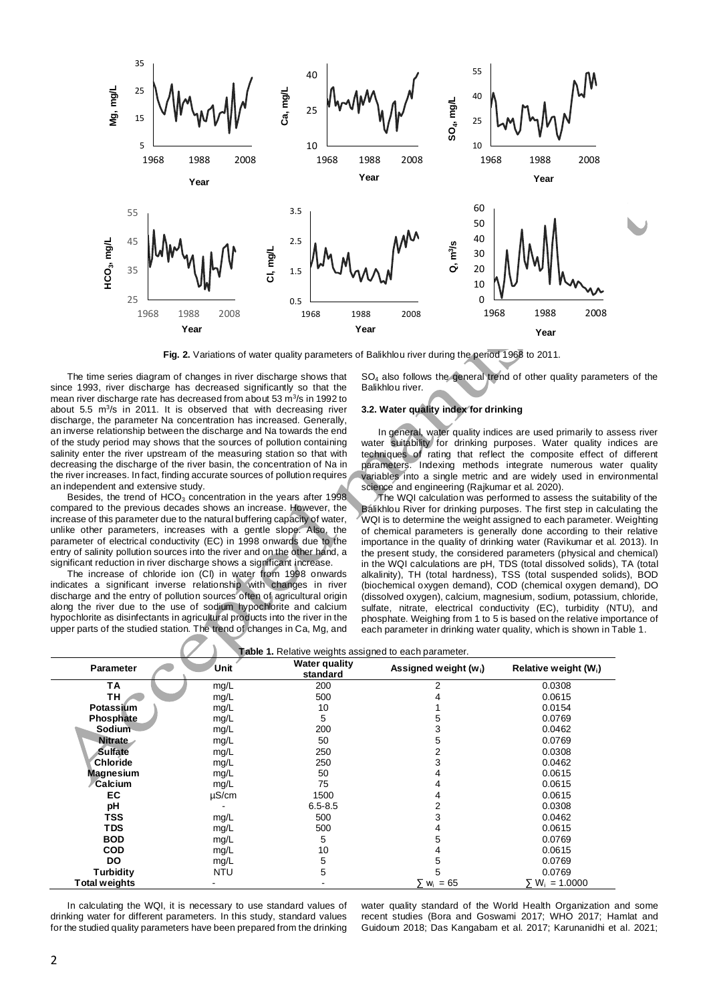

**Fig. 2.** Variations of water quality parameters of Balikhlou river during the period 1968 to 2011.

The time series diagram of changes in river discharge shows that since 1993, river discharge has decreased significantly so that the mean river discharge rate has decreased from about 53 m<sup>3</sup>/s in 1992 to about 5.5  $\mathrm{m}^3$ /s in 2011. It is observed that with decreasing river discharge, the parameter Na concentration has increased. Generally, an inverse relationship between the discharge and Na towards the end of the study period may shows that the sources of pollution containing salinity enter the river upstream of the measuring station so that with decreasing the discharge of the river basin, the concentration of Na in the river increases. In fact, finding accurate sources of pollution requires an independent and extensive study.

Besides, the trend of  $HCO<sub>3</sub>$  concentration in the years after 1998. compared to the previous decades shows an increase. However, the increase of this parameter due to the natural buffering capacity of water, unlike other parameters, increases with a gentle slope. Also, the parameter of electrical conductivity (EC) in 1998 onwards due to the entry of salinity pollution sources into the river and on the other hand, a significant reduction in river discharge shows a significant increase.

The increase of chloride ion (Cl) in water from 1998 onwards indicates a significant inverse relationship with changes in river discharge and the entry of pollution sources often of agricultural origin along the river due to the use of sodium hypochlorite and calcium hypochlorite as disinfectants in agricultural products into the river in the upper parts of the studied station. The trend of changes in Ca, Mg, and

SO<sub>4</sub> also follows the general trend of other quality parameters of the Balikhlou river.

# **3.2. Water quality index for drinking**

In general, water quality indices are used primarily to assess river water suitability for drinking purposes. Water quality indices are techniques of rating that reflect the composite effect of different parameters. Indexing methods integrate numerous water quality variables into a single metric and are widely used in environmental science and engineering (Rajkumar et al. 2020).

The WQI calculation was performed to assess the suitability of the Balikhlou River for drinking purposes. The first step in calculating the WQI is to determine the weight assigned to each parameter. Weighting of chemical parameters is generally done according to their relative importance in the quality of drinking water (Ravikumar et al. 2013). In the present study, the considered parameters (physical and chemical) in the WQI calculations are pH, TDS (total dissolved solids), TA (total alkalinity), TH (total hardness), TSS (total suspended solids), BOD (biochemical oxygen demand), COD (chemical oxygen demand), DO (dissolved oxygen), calcium, magnesium, sodium, potassium, chloride, sulfate, nitrate, electrical conductivity (EC), turbidity (NTU), and phosphate. Weighing from 1 to 5 is based on the relative importance of each parameter in drinking water quality, which is shown in Table 1.

|                  | <b>Table 1.</b> Relative weights assigned to each parameter. |                                  |                            |                         |
|------------------|--------------------------------------------------------------|----------------------------------|----------------------------|-------------------------|
| <b>Parameter</b> | Unit                                                         | <b>Water quality</b><br>standard | Assigned weight $(w_i)$    | Relative weight $(W_i)$ |
| ΤA               | mg/L                                                         | 200                              | 2                          | 0.0308                  |
| TН               | mg/L                                                         | 500                              |                            | 0.0615                  |
| Potassium        | mg/L                                                         | 10                               |                            | 0.0154                  |
| Phosphate        | mg/L                                                         | 5                                |                            | 0.0769                  |
| Sodium           | mg/L                                                         | 200                              | 3                          | 0.0462                  |
| <b>Nitrate</b>   | mg/L                                                         | 50                               | 5                          | 0.0769                  |
| <b>Sulfate</b>   | mg/L                                                         | 250                              |                            | 0.0308                  |
| Chloride         | mg/L                                                         | 250                              | 3                          | 0.0462                  |
| <b>Magnesium</b> | mg/L                                                         | 50                               |                            | 0.0615                  |
| Calcium          | mg/L                                                         | 75                               |                            | 0.0615                  |
| EC               | $\mu$ S/cm                                                   | 1500                             |                            | 0.0615                  |
| рH               |                                                              | $6.5 - 8.5$                      |                            | 0.0308                  |
| TSS              | mg/L                                                         | 500                              |                            | 0.0462                  |
| <b>TDS</b>       | mg/L                                                         | 500                              |                            | 0.0615                  |
| <b>BOD</b>       | mg/L                                                         | 5                                | 5                          | 0.0769                  |
| <b>COD</b>       | mg/L                                                         | 10                               |                            | 0.0615                  |
| DO               | mg/L                                                         | 5                                | 5                          | 0.0769                  |
| Turbidity        | <b>NTU</b>                                                   | 5                                | 5                          | 0.0769                  |
| Total weights    |                                                              |                                  | $= 65$<br>∑ w <sub>i</sub> | $\sum W_i = 1.0000$     |

In calculating the WQI, it is necessary to use standard values of drinking water for different parameters. In this study, standard values for the studied quality parameters have been prepared from the drinking water quality standard of the World Health Organization and some recent studies (Bora and Goswami 2017; WHO 2017; Hamlat and Guidoum 2018; Das Kangabam et al. 2017; Karunanidhi et al. 2021;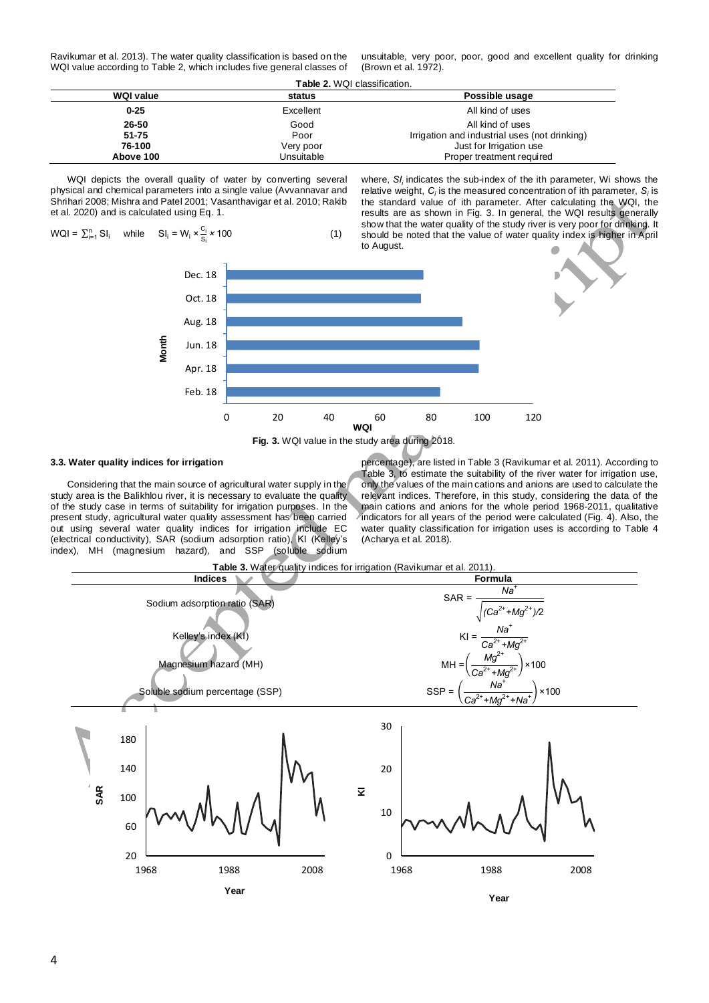Ravikumar et al. 2013). The water quality classification is based on the WQI value according to Table 2, which includes five general classes of unsuitable, very poor, poor, good and excellent quality for drinking (Brown et al. 1972).

**Table 2.** WQI classification.

| <b>WQI value</b> | status                                  | Possible usage                                |  |
|------------------|-----------------------------------------|-----------------------------------------------|--|
| $0 - 25$         | Excellent                               | All kind of uses                              |  |
| 26-50            | Good                                    | All kind of uses                              |  |
| $51 - 75$        | Poor                                    | Irrigation and industrial uses (not drinking) |  |
| 76-100           | Very poor                               | Just for Irrigation use                       |  |
| Above 100        | Unsuitable<br>Proper treatment required |                                               |  |

WQI depicts the overall quality of water by converting several physical and chemical parameters into a single value (Avvannavar and Shrihari 2008; Mishra and Patel 2001; Vasanthavigar et al. 2010; Rakib et al. 2020) and is calculated using Eq. 1.

 $WQI = \sum_{i=1}^{n} SI_i$  while  $SI_i = W_i \times \frac{C_i}{S_i}$  $\frac{S_1}{S_1}$  × 100 (1)

where, SI<sub>i</sub> indicates the sub-index of the ith parameter, Wi shows the relative weight,  $C_i$  is the measured concentration of ith parameter,  $S_i$  is the standard value of ith parameter. After calculating the WQI, the results are as shown in Fig. 3. In general, the WQI results generally show that the water quality of the study river is very poor for drinking. It should be noted that the value of water quality index is higher in April to August.



## **3.3. Water quality indices for irrigation**

Considering that the main source of agricultural water supply in the study area is the Balikhlou river, it is necessary to evaluate the quality of the study case in terms of suitability for irrigation purposes. In the present study, agricultural water quality assessment has been carried out using several water quality indices for irrigation include EC (electrical conductivity), SAR (sodium adsorption ratio), KI (Kelley's index), MH (magnesium hazard), and SSP (soluble sodium

percentage), are listed in Table 3 (Ravikumar et al. 2011). According to Table 3, to estimate the suitability of the river water for irrigation use, only the values of the main cations and anions are used to calculate the relevant indices. Therefore, in this study, considering the data of the main cations and anions for the whole period 1968-2011, qualitative indicators for all years of the period were calculated (Fig. 4). Also, the water quality classification for irrigation uses is according to Table 4 (Acharya et al. 2018).

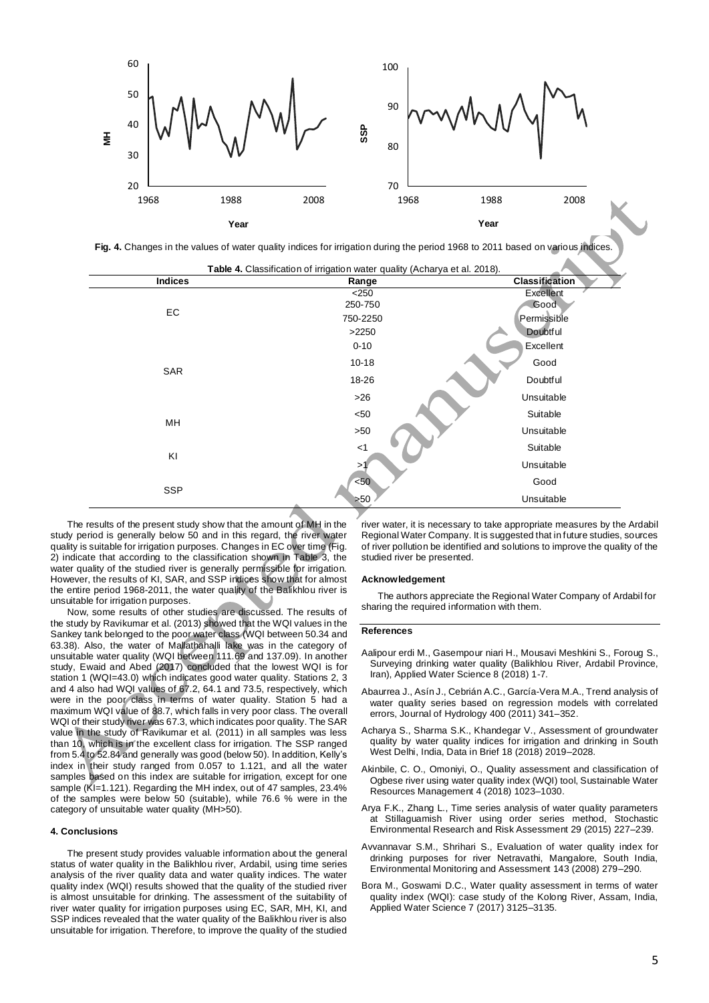

Fig. 4. Changes in the values of water quality indices for irrigation during the period 1968 to 2011 based on various indices

| Indices    | Range     | <b>Classification</b> |
|------------|-----------|-----------------------|
|            | $<$ 250   | Excellent             |
|            | 250-750   | Good                  |
| EC         | 750-2250  | Permissible           |
|            | >2250     | Doubtful              |
|            | $0 - 10$  | Excellent             |
|            | $10 - 18$ | Good                  |
| SAR        | 18-26     | Doubtful              |
|            | $>26$     | Unsuitable            |
|            | $50$      | Suitable              |
| MH         | >50       | Unsuitable            |
|            | $<$ 1     | Suitable              |
| KI         | >1        | Unsuitable            |
|            | $50$      | Good                  |
| <b>SSP</b> | $>50$     | Unsuitable            |

The results of the present study show that the amount of MH in the study period is generally below 50 and in this regard, the river water quality is suitable for irrigation purposes. Changes in EC over time (Fig. 2) indicate that according to the classification shown in Table 3, the water quality of the studied river is generally permissible for irrigation. However, the results of KI, SAR, and SSP indices show that for almost the entire period 1968-2011, the water quality of the Balikhlou river is unsuitable for irrigation purposes.

Now, some results of other studies are discussed. The results of the study by Ravikumar et al. (2013) showed that the WQI values in the Sankey tank belonged to the poor water class (WQI between 50.34 and 63.38). Also, the water of Mallathahalli lake was in the category of unsuitable water quality (WQI between 111.69 and 137.09). In another study, Ewaid and Abed (2017) concluded that the lowest WQI is for station 1 (WQI=43.0) which indicates good water quality. Stations 2, 3 and 4 also had WQI values of 67.2, 64.1 and 73.5, respectively, which were in the poor class in terms of water quality. Station 5 had a maximum WQI value of 88.7, which falls in very poor class. The overall WQI of their study river was 67.3, which indicates poor quality. The SAR value in the study of Ravikumar et al. (2011) in all samples was less than 10, which is in the excellent class for irrigation. The SSP ranged from 5.4 to 52.84 and generally was good (below 50). In addition, Kelly's index in their study ranged from 0.057 to 1.121, and all the water samples based on this index are suitable for irrigation, except for one sample (KI=1.121). Regarding the MH index, out of 47 samples, 23.4% of the samples were below 50 (suitable), while 76.6 % were in the category of unsuitable water quality (MH>50).

### **4. Conclusions**

The present study provides valuable information about the general status of water quality in the Balikhlou river, Ardabil, using time series analysis of the river quality data and water quality indices. The water quality index (WQI) results showed that the quality of the studied river is almost unsuitable for drinking. The assessment of the suitability of river water quality for irrigation purposes using EC, SAR, MH, KI, and SSP indices revealed that the water quality of the Balikhlou river is also unsuitable for irrigation. Therefore, to improve the quality of the studied

river water, it is necessary to take appropriate measures by the Ardabil Regional Water Company. It is suggested that in future studies, sources of river pollution be identified and solutions to improve the quality of the studied river be presented.

#### **Acknowledgement**

The authors appreciate the Regional Water Company of Ardabil for sharing the required information with them.

#### **References**

- Aalipour erdi M., Gasempour niari H., Mousavi Meshkini S., Foroug S., Surveying drinking water quality (Balikhlou River, Ardabil Province, Iran), Applied Water Science 8 (2018) 1-7.
- Abaurrea J., Asín J., Cebrián A.C., García-Vera M.A., Trend analysis of water quality series based on regression models with correlated errors, Journal of Hydrology 400 (2011) 341–352.
- Acharya S., Sharma S.K., Khandegar V., Assessment of groundwater quality by water quality indices for irrigation and drinking in South West Delhi, India, Data in Brief 18 (2018) 2019–2028.
- Akinbile, C. O., Omoniyi, O., Quality assessment and classification of Ogbese river using water quality index (WQI) tool, Sustainable Water Resources Management 4 (2018) 1023–1030.
- Arya F.K., Zhang L., Time series analysis of water quality parameters at Stillaguamish River using order series method, Stochastic Environmental Research and Risk Assessment 29 (2015) 227–239.
- Avvannavar S.M., Shrihari S., Evaluation of water quality index for drinking purposes for river Netravathi, Mangalore, South India, Environmental Monitoring and Assessment 143 (2008) 279–290.
- Bora M., Goswami D.C., Water quality assessment in terms of water quality index (WQI): case study of the Kolong River, Assam, India, Applied Water Science 7 (2017) 3125–3135.